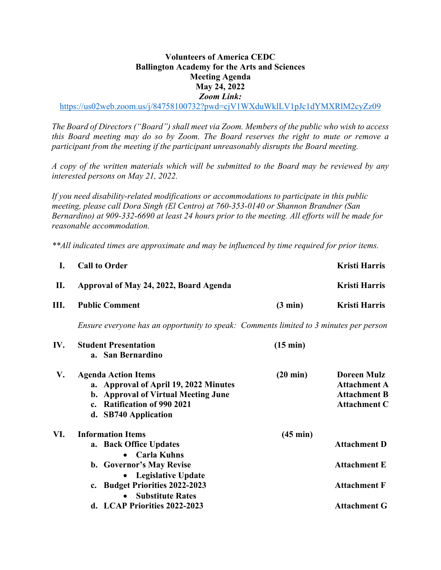## **Volunteers of America CEDC Ballington Academy for the Arts and Sciences Meeting Agenda May 24, 2022** *Zoom Link:*

https://us02web.zoom.us/j/84758100732?pwd=cjV1WXduWklLV1pJc1dYMXRlM2cyZz09

*The Board of Directors ("Board") shall meet via Zoom. Members of the public who wish to access this Board meeting may do so by Zoom. The Board reserves the right to mute or remove a participant from the meeting if the participant unreasonably disrupts the Board meeting.*

*A copy of the written materials which will be submitted to the Board may be reviewed by any interested persons on May 21, 2022.*

*If you need disability-related modifications or accommodations to participate in this public meeting, please call Dora Singh (El Centro) at 760-353-0140 or Shannon Brandner (San Bernardino) at 909-332-6690 at least 24 hours prior to the meeting. All efforts will be made for reasonable accommodation.* 

*\*\*All indicated times are approximate and may be influenced by time required for prior items.* 

| I.  | <b>Call to Order</b>                                                                                                                                              |                    | <b>Kristi Harris</b>                                                                    |
|-----|-------------------------------------------------------------------------------------------------------------------------------------------------------------------|--------------------|-----------------------------------------------------------------------------------------|
| П.  | Approval of May 24, 2022, Board Agenda                                                                                                                            |                    | <b>Kristi Harris</b>                                                                    |
| Ш.  | <b>Public Comment</b>                                                                                                                                             | $(3 \text{ min})$  | <b>Kristi Harris</b>                                                                    |
|     | Ensure everyone has an opportunity to speak: Comments limited to 3 minutes per person                                                                             |                    |                                                                                         |
| IV. | <b>Student Presentation</b><br>a. San Bernardino                                                                                                                  | $(15 \text{ min})$ |                                                                                         |
| V.  | <b>Agenda Action Items</b><br>a. Approval of April 19, 2022 Minutes<br>b. Approval of Virtual Meeting June<br>c. Ratification of 990 2021<br>d. SB740 Application | $(20 \text{ min})$ | <b>Doreen Mulz</b><br><b>Attachment A</b><br><b>Attachment B</b><br><b>Attachment C</b> |
| VI. | <b>Information Items</b><br>a. Back Office Updates<br><b>Carla Kuhns</b><br>$\bullet$                                                                             | $(45 \text{ min})$ | <b>Attachment D</b>                                                                     |
|     | b. Governor's May Revise                                                                                                                                          |                    | <b>Attachment E</b>                                                                     |
|     | <b>Legislative Update</b><br>c. Budget Priorities 2022-2023<br><b>Substitute Rates</b>                                                                            |                    | <b>Attachment F</b>                                                                     |
|     | d. LCAP Priorities 2022-2023                                                                                                                                      |                    | <b>Attachment G</b>                                                                     |